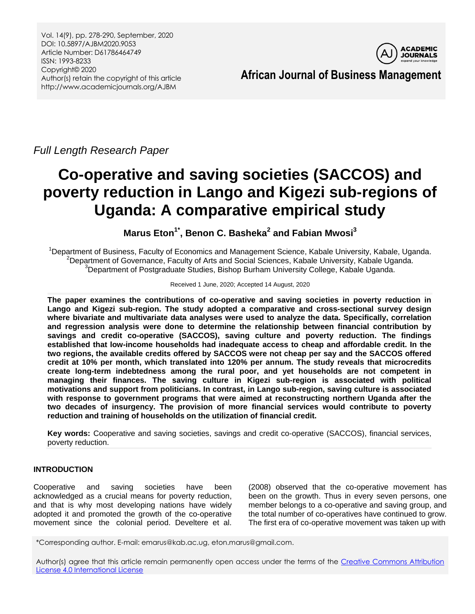Vol. 14(9), pp. 278-290, September, 2020 DOI: 10.5897/AJBM2020.9053 Article Number: D61786464749 ISSN: 1993-8233 Copyright© 2020 Author(s) retain the copyright of this article http://www.academicjournals.org/AJBM



*Full Length Research Paper*

# **Co-operative and saving societies (SACCOS) and poverty reduction in Lango and Kigezi sub-regions of Uganda: A comparative empirical study**

# **Marus Eton1\* , Benon C. Basheka<sup>2</sup> and Fabian Mwosi<sup>3</sup>**

<sup>1</sup>Department of Business, Faculty of Economics and Management Science, Kabale University, Kabale, Uganda. <sup>2</sup>Department of Governance, Faculty of Arts and Social Sciences, Kabale University, Kabale Uganda. <sup>3</sup>Department of Postgraduate Studies, Bishop Burham University College, Kabale Uganda.

#### Received 1 June, 2020; Accepted 14 August, 2020

**The paper examines the contributions of co-operative and saving societies in poverty reduction in Lango and Kigezi sub-region. The study adopted a comparative and cross-sectional survey design where bivariate and multivariate data analyses were used to analyze the data. Specifically, correlation and regression analysis were done to determine the relationship between financial contribution by savings and credit co-operative (SACCOS), saving culture and poverty reduction. The findings established that low-income households had inadequate access to cheap and affordable credit. In the two regions, the available credits offered by SACCOS were not cheap per say and the SACCOS offered credit at 10% per month, which translated into 120% per annum. The study reveals that microcredits create long-term indebtedness among the rural poor, and yet households are not competent in managing their finances. The saving culture in Kigezi sub-region is associated with political motivations and support from politicians. In contrast, in Lango sub-region, saving culture is associated with response to government programs that were aimed at reconstructing northern Uganda after the two decades of insurgency. The provision of more financial services would contribute to poverty reduction and training of households on the utilization of financial credit.**

**Key words:** Cooperative and saving societies, savings and credit co-operative (SACCOS), financial services, poverty reduction.

# **INTRODUCTION**

Cooperative and saving societies have been acknowledged as a crucial means for poverty reduction, and that is why most developing nations have widely adopted it and promoted the growth of the co-operative movement since the colonial period. Develtere et al.

(2008) observed that the co-operative movement has been on the growth. Thus in every seven persons, one member belongs to a co-operative and saving group, and the total number of co-operatives have continued to grow. The first era of co-operative movement was taken up with

\*Corresponding author. E-mail: emarus@kab.ac.ug, eton.marus@gmail.com.

Author(s) agree that this article remain permanently open access under the terms of the Creative Commons Attribution [License 4.0 International License](http://creativecommons.org/licenses/by/4.0/deed.en_US)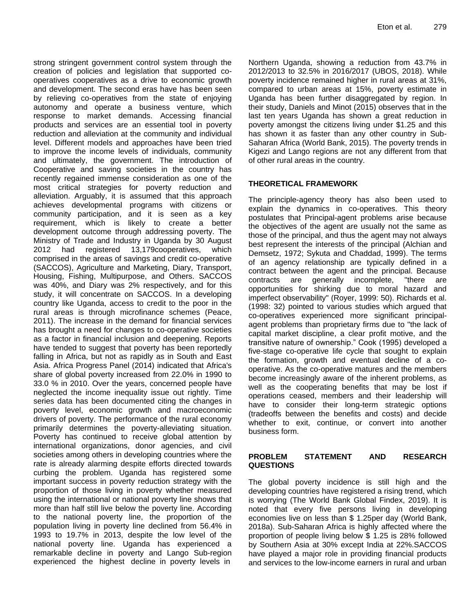strong stringent government control system through the creation of policies and legislation that supported cooperatives cooperatives as a drive to economic growth and development. The second eras have has been seen by relieving co-operatives from the state of enjoying autonomy and operate a business venture, which response to market demands. Accessing financial products and services are an essential tool in poverty reduction and alleviation at the community and individual level. Different models and approaches have been tried to improve the income levels of individuals, community and ultimately, the government. The introduction of Cooperative and saving societies in the country has recently regained immense consideration as one of the most critical strategies for poverty reduction and alleviation. Arguably, it is assumed that this approach achieves developmental programs with citizens or community participation, and it is seen as a key requirement, which is likely to create a better development outcome through addressing poverty. The Ministry of Trade and Industry in Uganda by 30 August 2012 had registered 13,179cooperatives, which comprised in the areas of savings and credit co-operative (SACCOS), Agriculture and Marketing, Diary, Transport, Housing, Fishing, Multipurpose, and Others. SACCOS was 40%, and Diary was 2% respectively, and for this study, it will concentrate on SACCOS. In a developing country like Uganda, access to credit to the poor in the rural areas is through microfinance schemes (Peace, 2011). The increase in the demand for financial services has brought a need for changes to co-operative societies as a factor in financial inclusion and deepening. Reports have tended to suggest that poverty has been reportedly falling in Africa, but not as rapidly as in South and East Asia. Africa Progress Panel (2014) indicated that Africa's share of global poverty increased from 22.0% in 1990 to 33.0 % in 2010. Over the years, concerned people have neglected the income inequality issue out rightly. Time series data has been documented citing the changes in poverty level, economic growth and macroeconomic drivers of poverty. The performance of the rural economy primarily determines the poverty-alleviating situation. Poverty has continued to receive global attention by international organizations, donor agencies, and civil societies among others in developing countries where the rate is already alarming despite efforts directed towards curbing the problem. Uganda has registered some important success in poverty reduction strategy with the proportion of those living in poverty whether measured using the international or national poverty line shows that more than half still live below the poverty line. According to the national poverty line, the proportion of the population living in poverty line declined from 56.4% in 1993 to 19.7% in 2013, despite the low level of the national poverty line. Uganda has experienced a remarkable decline in poverty and Lango Sub-region experienced the highest decline in poverty levels in

Northern Uganda, showing a reduction from 43.7% in 2012/2013 to 32.5% in 2016/2017 (UBOS, 2018). While poverty incidence remained higher in rural areas at 31%, compared to urban areas at 15%, poverty estimate in Uganda has been further disaggregated by region. In their study, Daniels and Minot (2015) observes that in the last ten years Uganda has shown a great reduction in poverty amongst the citizens living under \$1.25 and this has shown it as faster than any other country in Sub-Saharan Africa (World Bank, 2015). The poverty trends in Kigezi and Lango regions are not any different from that of other rural areas in the country.

#### **THEORETICAL FRAMEWORK**

The principle-agency theory has also been used to explain the dynamics in co-operatives. This theory postulates that Principal-agent problems arise because the objectives of the agent are usually not the same as those of the principal, and thus the agent may not always best represent the interests of the principal (Alchian and Demsetz, 1972; Sykuta and Chaddad, 1999). The terms of an agency relationship are typically defined in a contract between the agent and the principal. Because contracts are generally incomplete, "there are opportunities for shirking due to moral hazard and imperfect observability" (Royer, 1999: 50). Richards et al. (1998: 32) pointed to various studies which argued that co-operatives experienced more significant principalagent problems than proprietary firms due to "the lack of capital market discipline, a clear profit motive, and the transitive nature of ownership." Cook (1995) developed a five-stage co-operative life cycle that sought to explain the formation, growth and eventual decline of a cooperative. As the co-operative matures and the members become increasingly aware of the inherent problems, as well as the cooperating benefits that may be lost if operations ceased, members and their leadership will have to consider their long-term strategic options (tradeoffs between the benefits and costs) and decide whether to exit, continue, or convert into another business form.

#### **PROBLEM STATEMENT AND RESEARCH QUESTIONS**

The global poverty incidence is still high and the developing countries have registered a rising trend, which is worrying (The World Bank Global Findex, 2019). It is noted that every five persons living in developing economies live on less than \$ 1.25per day (World Bank, 2018a). Sub-Saharan Africa is highly affected where the proportion of people living below \$ 1.25 is 28% followed by Southern Asia at 30% except India at 22%.SACCOS have played a major role in providing financial products and services to the low-income earners in rural and urban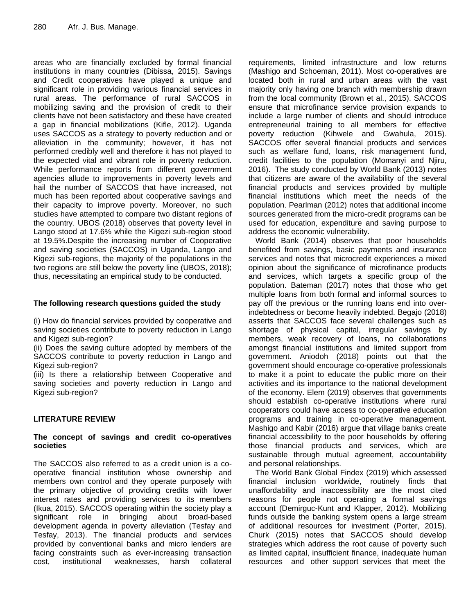areas who are financially excluded by formal financial institutions in many countries (Dibissa, 2015). Savings and Credit cooperatives have played a unique and significant role in providing various financial services in rural areas. The performance of rural SACCOS in mobilizing saving and the provision of credit to their clients have not been satisfactory and these have created a gap in financial mobilizations (Kifle, 2012). Uganda uses SACCOS as a strategy to poverty reduction and or alleviation in the community; however, it has not performed credibly well and therefore it has not played to the expected vital and vibrant role in poverty reduction. While performance reports from different government agencies allude to improvements in poverty levels and hail the number of SACCOS that have increased, not much has been reported about cooperative savings and their capacity to improve poverty. Moreover, no such studies have attempted to compare two distant regions of the country. UBOS (2018) observes that poverty level in Lango stood at 17.6% while the Kigezi sub-region stood at 19.5%.Despite the increasing number of Cooperative and saving societies (SACCOS) in Uganda, Lango and Kigezi sub-regions, the majority of the populations in the two regions are still below the poverty line (UBOS, 2018); thus, necessitating an empirical study to be conducted.

# **The following research questions guided the study**

(i) How do financial services provided by cooperative and saving societies contribute to poverty reduction in Lango and Kigezi sub-region?

(ii) Does the saving culture adopted by members of the SACCOS contribute to poverty reduction in Lango and Kigezi sub-region?

(iii) Is there a relationship between Cooperative and saving societies and poverty reduction in Lango and Kigezi sub-region?

# **LITERATURE REVIEW**

#### **The concept of savings and credit co-operatives societies**

The SACCOS also referred to as a credit union is a cooperative financial institution whose ownership and members own control and they operate purposely with the primary objective of providing credits with lower interest rates and providing services to its members (Ikua, 2015). SACCOS operating within the society play a significant role in bringing about broad-based development agenda in poverty alleviation (Tesfay and Tesfay, 2013). The financial products and services provided by conventional banks and micro lenders are facing constraints such as ever-increasing transaction cost, institutional weaknesses, harsh collateral

requirements, limited infrastructure and low returns (Mashigo and Schoeman, 2011). Most co-operatives are located both in rural and urban areas with the vast majority only having one branch with membership drawn from the local community (Brown et al., 2015). SACCOS ensure that microfinance service provision expands to include a large number of clients and should introduce entrepreneurial training to all members for effective poverty reduction (Kihwele and Gwahula, 2015). SACCOS offer several financial products and services such as welfare fund, loans, risk management fund, credit facilities to the population (Momanyi and Njiru, 2016). The study conducted by World Bank (2013) notes that citizens are aware of the availability of the several financial products and services provided by multiple financial institutions which meet the needs of the population. Pearlman (2012) notes that additional income sources generated from the micro-credit programs can be used for education, expenditure and saving purpose to address the economic vulnerability.

World Bank (2014) observes that poor households benefited from savings, basic payments and insurance services and notes that microcredit experiences a mixed opinion about the significance of microfinance products and services, which targets a specific group of the population. Bateman (2017) notes that those who get multiple loans from both formal and informal sources to pay off the previous or the running loans end into overindebtedness or become heavily indebted. Begajo (2018) asserts that SACCOS face several challenges such as shortage of physical capital, irregular savings by members, weak recovery of loans, no collaborations amongst financial institutions and limited support from government. Aniodoh (2018) points out that the government should encourage co-operative professionals to make it a point to educate the public more on their activities and its importance to the national development of the economy. Elem (2019) observes that governments should establish co-operative institutions where rural cooperators could have access to co-operative education programs and training in co-operative management. Mashigo and Kabir (2016) argue that village banks create financial accessibility to the poor households by offering those financial products and services, which are sustainable through mutual agreement, accountability and personal relationships.

The World Bank Global Findex (2019) which assessed financial inclusion worldwide, routinely finds that unaffordability and inaccessibility are the most cited reasons for people not operating a formal savings account (Demirguc-Kunt and Klapper, 2012). Mobilizing funds outside the banking system opens a large stream of additional resources for investment (Porter, 2015). Churk (2015) notes that SACCOS should develop strategies which address the root cause of poverty such as limited capital, insufficient finance, inadequate human resources and other support services that meet the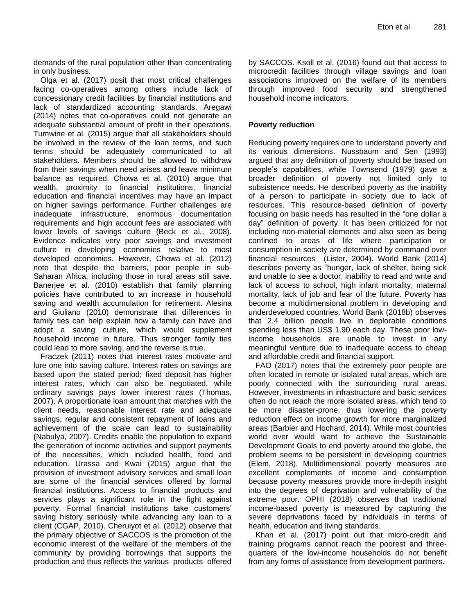demands of the rural population other than concentrating in only business.

Olga et al. (2017) posit that most critical challenges facing co-operatives among others include lack of concessionary credit facilities by financial institutions and lack of standardized accounting standards. Aregawi (2014) notes that co-operatives could not generate an adequate substantial amount of profit in their operations. Tumwine et al. (2015) argue that all stakeholders should be involved in the review of the loan terms, and such terms should be adequately communicated to all stakeholders. Members should be allowed to withdraw from their savings when need arises and leave minimum balance as required. Chowa et al. (2010) argue that wealth, proximity to financial institutions, financial education and financial incentives may have an impact on higher savings performance. Further challenges are inadequate infrastructure, enormous documentation requirements and high account fees are associated with lower levels of savings culture (Beck et al., 2008). Evidence indicates very poor savings and investment culture in developing economies relative to most developed economies. However, Chowa et al. (2012) note that despite the barriers, poor people in sub-Saharan Africa, including those in rural areas still save. Banerjee et al. (2010) establish that family planning policies have contributed to an increase in household saving and wealth accumulation for retirement. Alesina and Giuliano (2010) demonstrate that differences in family ties can help explain how a family can have and adopt a saving culture, which would supplement household income in future. Thus stronger family ties could lead to more saving, and the reverse is true.

Fraczek (2011) notes that interest rates motivate and lure one into saving culture. Interest rates on savings are based upon the stated period; fixed deposit has higher interest rates, which can also be negotiated, while ordinary savings pays lower interest rates (Thomas, 2007). A proportionate loan amount that matches with the client needs, reasonable interest rate and adequate savings, regular and consistent repayment of loans and achievement of the scale can lead to sustainability (Nabulya, 2007). Credits enable the population to expand the generation of income activities and support payments of the necessities, which included health, food and education. Urassa and Kwai (2015) argue that the provision of investment advisory services and small loan are some of the financial services offered by formal financial institutions. Access to financial products and services plays a significant role in the fight against poverty. Formal financial institutions take customers" saving history seriously while advancing any loan to a client (CGAP, 2010). Cheruiyot et al. (2012) observe that the primary objective of SACCOS is the promotion of the economic interest of the welfare of the members of the community by providing borrowings that supports the production and thus reflects the various products offered

by SACCOS. Ksoll et al. (2016) found out that access to microcredit facilities through village savings and loan associations improved on the welfare of its members through improved food security and strengthened household income indicators.

### **Poverty reduction**

Reducing poverty requires one to understand poverty and its various dimensions. Nussbaum and Sen (1993) argued that any definition of poverty should be based on people"s capabilities, while Townsend (1979) gave a broader definition of poverty not limited only to subsistence needs. He described poverty as the inability of a person to participate in society due to lack of resources. This resource-based definition of poverty focusing on basic needs has resulted in the "one dollar a day" definition of poverty. It has been criticized for not including non-material elements and also seen as being confined to areas of life where participation or consumption in society are determined by command over financial resources (Lister, 2004). World Bank (2014) describes poverty as "hunger, lack of shelter, being sick and unable to see a doctor, inability to read and write and lack of access to school, high infant mortality, maternal mortality, lack of job and fear of the future. Poverty has become a multidimensional problem in developing and underdeveloped countries. World Bank (2018b) observes that 2.4 billion people live in deplorable conditions spending less than US\$ 1.90 each day. These poor lowincome households are unable to invest in any meaningful venture due to inadequate access to cheap and affordable credit and financial support.

FAO (2017) notes that the extremely poor people are often located in remote or isolated rural areas, which are poorly connected with the surrounding rural areas. However, investments in infrastructure and basic services often do not reach the more isolated areas, which tend to be more disaster-prone, thus lowering the poverty reduction effect on income growth for more marginalized areas (Barbier and Hochard, 2014). While most countries world over would want to achieve the Sustainable Development Goals to end poverty around the globe, the problem seems to be persistent in developing countries (Elem, 2018). Multidimensional poverty measures are excellent complements of income and consumption because poverty measures provide more in-depth insight into the degrees of deprivation and vulnerability of the extreme poor. OPHI (2018) observes that traditional income-based poverty is measured by capturing the severe deprivations faced by individuals in terms of health, education and living standards.

Khan et al. (2017) point out that micro-credit and training programs cannot reach the poorest and threequarters of the low-income households do not benefit from any forms of assistance from development partners.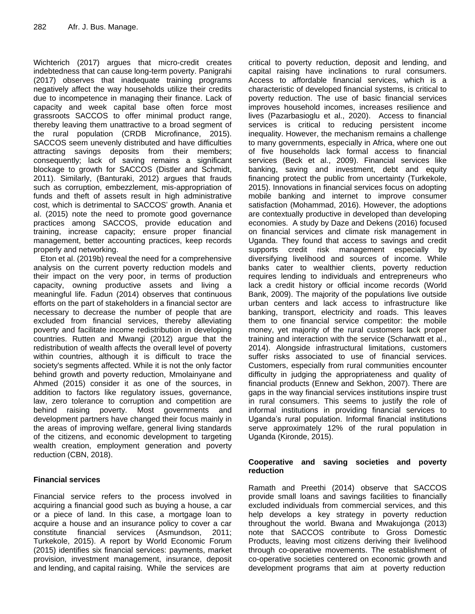Wichterich (2017) argues that micro-credit creates indebtedness that can cause long-term poverty. Panigrahi (2017) observes that inadequate training programs negatively affect the way households utilize their credits due to incompetence in managing their finance. Lack of capacity and week capital base often force most grassroots SACCOS to offer minimal product range, thereby leaving them unattractive to a broad segment of the rural population (CRDB Microfinance, 2015). SACCOS seem unevenly distributed and have difficulties attracting savings deposits from their members; consequently; lack of saving remains a significant blockage to growth for SACCOS (Distler and Schmidt, 2011). Similarly, (Banturaki, 2012) argues that frauds such as corruption, embezzlement, mis-appropriation of funds and theft of assets result in high administrative cost, which is detrimental to SACCOS' growth. Anania et al. (2015) note the need to promote good governance practices among SACCOS, provide education and training, increase capacity; ensure proper financial management, better accounting practices, keep records properly and networking.

Eton et al. (2019b) reveal the need for a comprehensive analysis on the current poverty reduction models and their impact on the very poor, in terms of production capacity, owning productive assets and living a meaningful life. Fadun (2014) observes that continuous efforts on the part of stakeholders in a financial sector are necessary to decrease the number of people that are excluded from financial services, thereby alleviating poverty and facilitate income redistribution in developing countries. Rutten and Mwangi (2012) argue that the redistribution of wealth affects the overall level of poverty within countries, although it is difficult to trace the society's segments affected. While it is not the only factor behind growth and poverty reduction, Mmolainyane and Ahmed (2015) consider it as one of the sources, in addition to factors like regulatory issues, governance, law, zero tolerance to corruption and competition are behind raising poverty. Most governments and development partners have changed their focus mainly in the areas of improving welfare, general living standards of the citizens, and economic development to targeting wealth creation, employment generation and poverty reduction (CBN, 2018).

# **Financial services**

Financial service refers to the process involved in acquiring a financial good such as buying a house, a car or a piece of land. In this case, a mortgage loan to acquire a house and an insurance policy to cover a car constitute financial services (Asmundson, 2011; Turkekole, 2015). A report by World Economic Forum (2015) identifies six financial services: payments, market provision, investment management, insurance, deposit and lending, and capital raising. While the services are

critical to poverty reduction, deposit and lending, and capital raising have inclinations to rural consumers. Access to affordable financial services, which is a characteristic of developed financial systems, is critical to poverty reduction. The use of basic financial services improves household incomes, increases resilience and lives (Pazarbasioglu et al., 2020). Access to financial services is critical to reducing persistent income inequality. However, the mechanism remains a challenge to many governments, especially in Africa, where one out of five households lack formal access to financial services (Beck et al., 2009). Financial services like banking, saving and investment, debt and equity financing protect the public from uncertainty (Turkekole, 2015). Innovations in financial services focus on adopting mobile banking and internet to improve consumer satisfaction (Mohammad, 2016). However, the adoptions are contextually productive in developed than developing economies. A study by Daze and Dekens (2016) focused on financial services and climate risk management in Uganda. They found that access to savings and credit supports credit risk management especially by diversifying livelihood and sources of income. While banks cater to wealthier clients, poverty reduction requires lending to individuals and entrepreneurs who lack a credit history or official income records (World Bank, 2009). The majority of the populations live outside urban centers and lack access to infrastructure like banking, transport, electricity and roads. This leaves them to one financial service competitor: the mobile money, yet majority of the rural customers lack proper training and interaction with the service (Scharwatt et al., 2014). Alongside infrastructural limitations, customers suffer risks associated to use of financial services. Customers, especially from rural communities encounter difficulty in judging the appropriateness and quality of financial products (Ennew and Sekhon, 2007). There are gaps in the way financial services institutions inspire trust in rural consumers. This seems to justify the role of informal institutions in providing financial services to Uganda"s rural population. Informal financial institutions serve approximately 12% of the rural population in Uganda (Kironde, 2015).

## **Cooperative and saving societies and poverty reduction**

Ramath and Preethi (2014) observe that SACCOS provide small loans and savings facilities to financially excluded individuals from commercial services, and this help develops a key strategy in poverty reduction throughout the world. Bwana and Mwakujonga (2013) note that SACCOS contribute to Gross Domestic Products, leaving most citizens deriving their livelihood through co-operative movements. The establishment of co-operative societies centered on economic growth and development programs that aim at poverty reduction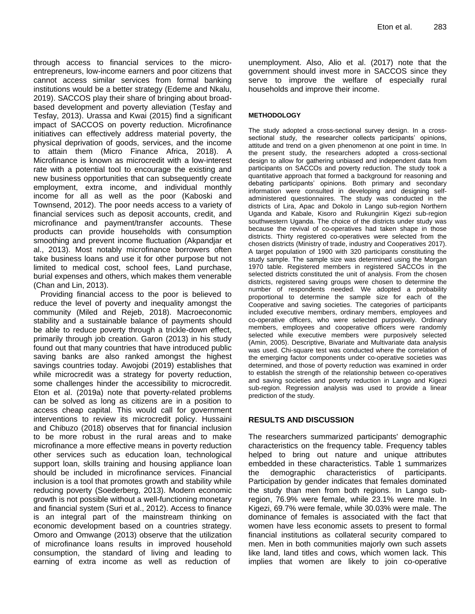through access to financial services to the microentrepreneurs, low-income earners and poor citizens that cannot access similar services from formal banking institutions would be a better strategy (Edeme and Nkalu, 2019). SACCOS play their share of bringing about broadbased development and poverty alleviation (Tesfay and Tesfay, 2013). Urassa and Kwai (2015) find a significant impact of SACCOS on poverty reduction. Microfinance initiatives can effectively address material poverty, the physical deprivation of goods, services, and the income to attain them (Micro Finance Africa, 2018). A Microfinance is known as microcredit with a low-interest rate with a potential tool to encourage the existing and new business opportunities that can subsequently create employment, extra income, and individual monthly income for all as well as the poor (Kaboski and Townsend, 2012). The poor needs access to a variety of financial services such as deposit accounts, credit, and microfinance and payment/transfer accounts. These products can provide households with consumption smoothing and prevent income fluctuation (Akpandjar et al., 2013). Most notably microfinance borrowers often take business loans and use it for other purpose but not limited to medical cost, school fees, Land purchase, burial expenses and others, which makes them venerable (Chan and Lin, 2013).

Providing financial access to the poor is believed to reduce the level of poverty and inequality amongst the community (Miled and Rejeb, 2018). Macroeconomic stability and a sustainable balance of payments should be able to reduce poverty through a trickle-down effect, primarily through job creation. Garon (2013) in his study found out that many countries that have introduced public saving banks are also ranked amongst the highest savings countries today. Awojobi (2019) establishes that while microcredit was a strategy for poverty reduction, some challenges hinder the accessibility to microcredit. Eton et al. (2019a) note that poverty-related problems can be solved as long as citizens are in a position to access cheap capital. This would call for government interventions to review its microcredit policy. Hussaini and Chibuzo (2018) observes that for financial inclusion to be more robust in the rural areas and to make microfinance a more effective means in poverty reduction other services such as education loan, technological support loan, skills training and housing appliance loan should be included in microfinance services. Financial inclusion is a tool that promotes growth and stability while reducing poverty (Soederberg, 2013). Modern economic growth is not possible without a well-functioning monetary and financial system (Suri et al., 2012). Access to finance is an integral part of the mainstream thinking on economic development based on a countries strategy. Omoro and Omwange (2013) observe that the utilization of microfinance loans results in improved household consumption, the standard of living and leading to earning of extra income as well as reduction of

unemployment. Also, Alio et al. (2017) note that the government should invest more in SACCOS since they serve to improve the welfare of especially rural households and improve their income.

#### **METHODOLOGY**

The study adopted a cross-sectional survey design. In a crosssectional study, the researcher collects participants' opinions, attitude and trend on a given phenomenon at one point in time. In the present study, the researchers adopted a cross-sectional design to allow for gathering unbiased and independent data from participants on SACCOs and poverty reduction. The study took a quantitative approach that formed a background for reasoning and debating participants" opinions. Both primary and secondary information were consulted in developing and designing selfadministered questionnaires. The study was conducted in the districts of Lira, Apac and Dokolo in Lango sub-region Northern Uganda and Kabale, Kisoro and Rukungiriin Kigezi sub-region southwestern Uganda. The choice of the districts under study was because the revival of co-operatives had taken shape in those districts. Thirty registered co-operatives were selected from the chosen districts (Ministry of trade, industry and Cooperatives 2017). A target population of 1900 with 320 participants constituting the study sample. The sample size was determined using the Morgan 1970 table. Registered members in registered SACCOs in the selected districts constituted the unit of analysis. From the chosen districts, registered saving groups were chosen to determine the number of respondents needed. We adopted a probability proportional to determine the sample size for each of the Cooperative and saving societies. The categories of participants included executive members, ordinary members, employees and co-operative officers, who were selected purposively. Ordinary members, employees and cooperative officers were randomly selected while executive members were purposively selected (Amin, 2005). Descriptive, Bivariate and Multivariate data analysis was used. Chi-square test was conducted where the correlation of the emerging factor components under co-operative societies was determined, and those of poverty reduction was examined in order to establish the strength of the relationship between co-operatives and saving societies and poverty reduction in Lango and Kigezi sub-region. Regression analysis was used to provide a linear prediction of the study.

#### **RESULTS AND DISCUSSION**

The researchers summarized participants' demographic characteristics on the frequency table. Frequency tables helped to bring out nature and unique attributes embedded in these characteristics. Table 1 summarizes the demographic characteristics of participants. Participation by gender indicates that females dominated the study than men from both regions. In Lango subregion, 76.9% were female, while 23.1% were male. In Kigezi, 69.7% were female, while 30.03% were male. The dominance of females is associated with the fact that women have less economic assets to present to formal financial institutions as collateral security compared to men. Men in both communities majorly own such assets like land, land titles and cows, which women lack. This implies that women are likely to join co-operative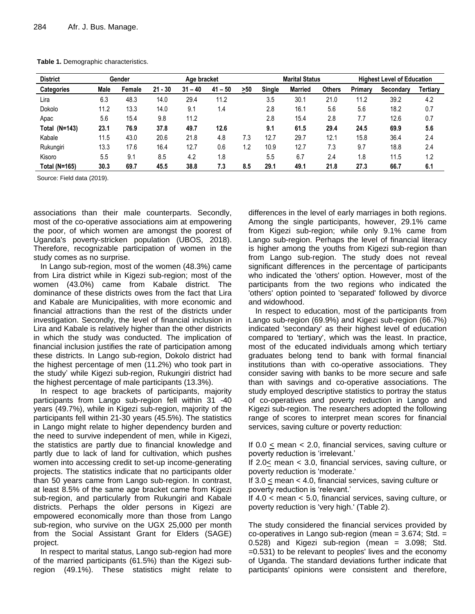| Table 1. Demographic characteristics. |  |
|---------------------------------------|--|
|---------------------------------------|--|

| <b>District</b>   |      | Gender |           | Age bracket |           |     | <b>Marital Status</b> |                |               | <b>Highest Level of Education</b> |           |          |
|-------------------|------|--------|-----------|-------------|-----------|-----|-----------------------|----------------|---------------|-----------------------------------|-----------|----------|
| <b>Categories</b> | Male | Female | $21 - 30$ | $31 - 40$   | $41 - 50$ | >50 | Single                | <b>Married</b> | <b>Others</b> | Primary                           | Secondary | Tertiary |
| Lira              | 6.3  | 48.3   | 14.0      | 29.4        | 11.2      |     | 3.5                   | 30.1           | 21.0          | 11.2                              | 39.2      | 4.2      |
| Dokolo            | 11.2 | 13.3   | 14.0      | 9.1         | 1.4       |     | 2.8                   | 16.1           | 5.6           | 5.6                               | 18.2      | 0.7      |
| Apac              | 5.6  | 15.4   | 9.8       | 11.2        |           |     | 2.8                   | 15.4           | 2.8           | 7.7                               | 12.6      | 0.7      |
| Total (N=143)     | 23.1 | 76.9   | 37.8      | 49.7        | 12.6      |     | 9.1                   | 61.5           | 29.4          | 24.5                              | 69.9      | 5.6      |
| Kabale            | 11.5 | 43.0   | 20.6      | 21.8        | 4.8       | 7.3 | 12.7                  | 29.7           | 12.1          | 15.8                              | 36.4      | 2.4      |
| Rukungiri         | 13.3 | 17.6   | 16.4      | 12.7        | 0.6       | 1.2 | 10.9                  | 12.7           | 7.3           | 9.7                               | 18.8      | 2.4      |
| Kisoro            | 5.5  | 9.1    | 8.5       | 4.2         | 1.8       |     | 5.5                   | 6.7            | 2.4           | 1.8                               | 11.5      | 1.2      |
| Total (N=165)     | 30.3 | 69.7   | 45.5      | 38.8        | 7.3       | 8.5 | 29.1                  | 49.1           | 21.8          | 27.3                              | 66.7      | 6.1      |

Source: Field data (2019).

associations than their male counterparts. Secondly, most of the co-operative associations aim at empowering the poor, of which women are amongst the poorest of Uganda's poverty-stricken population (UBOS, 2018). Therefore, recognizable participation of women in the study comes as no surprise.

In Lango sub-region, most of the women (48.3%) came from Lira district while in Kigezi sub-region; most of the women (43.0%) came from Kabale district. The dominance of these districts owes from the fact that Lira and Kabale are Municipalities, with more economic and financial attractions than the rest of the districts under investigation. Secondly, the level of financial inclusion in Lira and Kabale is relatively higher than the other districts in which the study was conducted. The implication of financial inclusion justifies the rate of participation among these districts. In Lango sub-region, Dokolo district had the highest percentage of men (11.2%) who took part in the study" while Kigezi sub-region, Rukungiri district had the highest percentage of male participants (13.3%).

In respect to age brackets of participants, majority participants from Lango sub-region fell within 31 -40 years (49.7%), while in Kigezi sub-region, majority of the participants fell within 21-30 years (45.5%). The statistics in Lango might relate to higher dependency burden and the need to survive independent of men, while in Kigezi, the statistics are partly due to financial knowledge and partly due to lack of land for cultivation, which pushes women into accessing credit to set-up income-generating projects. The statistics indicate that no participants older than 50 years came from Lango sub-region. In contrast, at least 8.5% of the same age bracket came from Kigezi sub-region, and particularly from Rukungiri and Kabale districts. Perhaps the older persons in Kigezi are empowered economically more than those from Lango sub-region, who survive on the UGX 25,000 per month from the Social Assistant Grant for Elders (SAGE) project.

In respect to marital status, Lango sub-region had more of the married participants (61.5%) than the Kigezi subregion (49.1%). These statistics might relate to differences in the level of early marriages in both regions. Among the single participants, however, 29.1% came from Kigezi sub-region; while only 9.1% came from Lango sub-region. Perhaps the level of financial literacy is higher among the youths from Kigezi sub-region than from Lango sub-region. The study does not reveal significant differences in the percentage of participants who indicated the 'others' option. However, most of the participants from the two regions who indicated the 'others' option pointed to 'separated' followed by divorce and widowhood.

In respect to education, most of the participants from Lango sub-region (69.9%) and Kigezi sub-region (66.7%) indicated 'secondary' as their highest level of education compared to 'tertiary', which was the least. In practice, most of the educated individuals among which tertiary graduates belong tend to bank with formal financial institutions than with co-operative associations. They consider saving with banks to be more secure and safe than with savings and co-operative associations. The study employed descriptive statistics to portray the status of co-operatives and poverty reduction in Lango and Kigezi sub-region. The researchers adopted the following range of scores to interpret mean scores for financial services, saving culture or poverty reduction:

If 0.0 < mean < 2.0, financial services, saving culture or poverty reduction is "irrelevant."

If  $2.0 \le m$ ean < 3.0, financial services, saving culture, or poverty reduction is 'moderate.'

If 3.0 < mean < 4.0, financial services, saving culture or poverty reduction is 'relevant.'

If 4.0 < mean < 5.0, financial services, saving culture, or poverty reduction is 'very high.' (Table 2).

The study considered the financial services provided by co-operatives in Lango sub-region (mean  $=$  3.674; Std.  $=$ 0.528) and Kigezi sub-region (mean = 3.098; Std. =0.531) to be relevant to peoples' lives and the economy of Uganda. The standard deviations further indicate that participants' opinions were consistent and therefore,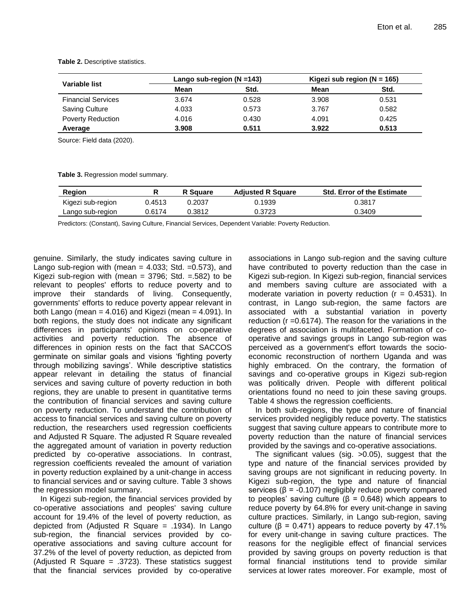| Variable list             |       | Lango sub-region ( $N = 143$ ) | Kigezi sub region ( $N = 165$ ) |       |
|---------------------------|-------|--------------------------------|---------------------------------|-------|
|                           | Mean  | Std.                           | Mean                            | Std.  |
| <b>Financial Services</b> | 3.674 | 0.528                          | 3.908                           | 0.531 |
| <b>Saving Culture</b>     | 4.033 | 0.573                          | 3.767                           | 0.582 |
| <b>Poverty Reduction</b>  | 4.016 | 0.430                          | 4.091                           | 0.425 |
| Average                   | 3.908 | 0.511                          | 3.922                           | 0.513 |

**Table 2.** Descriptive statistics.

Source: Field data (2020).

**Table 3.** Regression model summary.

| <b>Region</b>     | D      | <b>R</b> Square | <b>Adiusted R Square</b> | <b>Std. Error of the Estimate</b> |
|-------------------|--------|-----------------|--------------------------|-----------------------------------|
| Kigezi sub-region | 0.4513 | ን.2037          | 0.1939                   | 0.3817                            |
| Lango sub-region  | 0.6174 | 0.3812          | 0.3723                   | 0.3409                            |

Predictors: (Constant), Saving Culture, Financial Services, Dependent Variable: Poverty Reduction.

genuine. Similarly, the study indicates saving culture in Lango sub-region with (mean  $=$  4.033; Std.  $=$ 0.573), and Kigezi sub-region with (mean =  $3796$ ; Std. =  $582$ ) to be relevant to peoples' efforts to reduce poverty and to improve their standards of living. Consequently, governments' efforts to reduce poverty appear relevant in both Lango (mean =  $4.016$ ) and Kigezi (mean =  $4.091$ ). In both regions, the study does not indicate any significant differences in participants' opinions on co-operative activities and poverty reduction. The absence of differences in opinion rests on the fact that SACCOS germinate on similar goals and visions "fighting poverty through mobilizing savings'. While descriptive statistics appear relevant in detailing the status of financial services and saving culture of poverty reduction in both regions, they are unable to present in quantitative terms the contribution of financial services and saving culture on poverty reduction. To understand the contribution of access to financial services and saving culture on poverty reduction, the researchers used regression coefficients and Adjusted R Square. The adjusted R Square revealed the aggregated amount of variation in poverty reduction predicted by co-operative associations. In contrast, regression coefficients revealed the amount of variation in poverty reduction explained by a unit-change in access to financial services and or saving culture. Table 3 shows the regression model summary.

In Kigezi sub-region, the financial services provided by co-operative associations and peoples' saving culture account for 19.4% of the level of poverty reduction, as depicted from (Adjusted R Square  $= .1934$ ). In Lango sub-region, the financial services provided by cooperative associations and saving culture account for 37.2% of the level of poverty reduction, as depicted from (Adjusted R Square = .3723). These statistics suggest that the financial services provided by co-operative

associations in Lango sub-region and the saving culture have contributed to poverty reduction than the case in Kigezi sub-region. In Kigezi sub-region, financial services and members saving culture are associated with a moderate variation in poverty reduction ( $r = 0.4531$ ). In contrast, in Lango sub-region, the same factors are associated with a substantial variation in poverty reduction (r =0.6174). The reason for the variations in the degrees of association is multifaceted. Formation of cooperative and savings groups in Lango sub-region was perceived as a government's effort towards the socioeconomic reconstruction of northern Uganda and was highly embraced. On the contrary, the formation of savings and co-operative groups in Kigezi sub-region was politically driven. People with different political orientations found no need to join these saving groups. Table 4 shows the regression coefficients.

In both sub-regions, the type and nature of financial services provided negligibly reduce poverty. The statistics suggest that saving culture appears to contribute more to poverty reduction than the nature of financial services provided by the savings and co-operative associations.

The significant values (sig. >0.05), suggest that the type and nature of the financial services provided by saving groups are not significant in reducing poverty. In Kigezi sub-region, the type and nature of financial services ( $\beta$  = -0.107) negligibly reduce poverty compared to peoples' saving culture ( $β = 0.648$ ) which appears to reduce poverty by 64.8% for every unit-change in saving culture practices. Similarly, in Lango sub-region, saving culture ( $β = 0.471$ ) appears to reduce poverty by 47.1% for every unit-change in saving culture practices. The reasons for the negligible effect of financial services provided by saving groups on poverty reduction is that formal financial institutions tend to provide similar services at lower rates moreover. For example, most of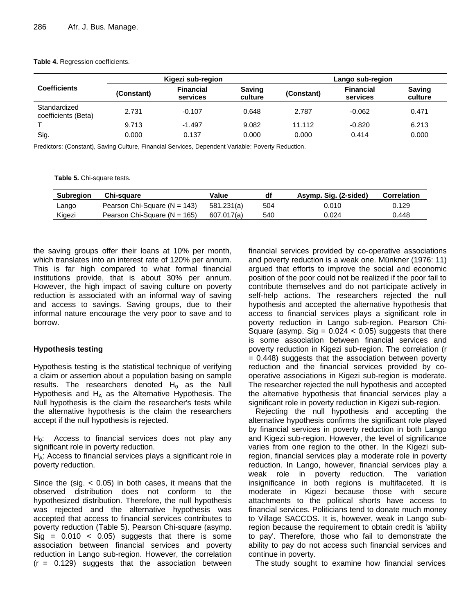**Table 4.** Regression coefficients.

|                                     |            | Kigezi sub-region            |                          | Lango sub-region |                              |                          |  |
|-------------------------------------|------------|------------------------------|--------------------------|------------------|------------------------------|--------------------------|--|
| <b>Coefficients</b>                 | (Constant) | <b>Financial</b><br>services | <b>Saving</b><br>culture | (Constant)       | <b>Financial</b><br>services | <b>Saving</b><br>culture |  |
| Standardized<br>coefficients (Beta) | 2.731      | $-0.107$                     | 0.648                    | 2.787            | $-0.062$                     | 0.471                    |  |
|                                     | 9.713      | $-1.497$                     | 9.082                    | 11.112           | $-0.820$                     | 6.213                    |  |
| Sig.                                | 0.000      | 0.137                        | 0.000                    | 0.000            | 0.414                        | 0.000                    |  |

Predictors: (Constant), Saving Culture, Financial Services, Dependent Variable: Poverty Reduction.

**Table 5.** Chi-square tests.

| <b>Subregion</b> | <b>Chi-square</b>                | Value      | df  | Asymp. Sig. (2-sided) | <b>Correlation</b> |
|------------------|----------------------------------|------------|-----|-----------------------|--------------------|
| Lango            | Pearson Chi-Square ( $N = 143$ ) | 581.231(a) | 504 | 0.010                 | 0.129              |
| <u>Kigez</u> i   | Pearson Chi-Square ( $N = 165$ ) | 607.017(a) | 540 | 0.024                 | 0.448              |

the saving groups offer their loans at 10% per month, which translates into an interest rate of 120% per annum. This is far high compared to what formal financial institutions provide, that is about 30% per annum. However, the high impact of saving culture on poverty reduction is associated with an informal way of saving and access to savings. Saving groups, due to their informal nature encourage the very poor to save and to borrow.

#### **Hypothesis testing**

Hypothesis testing is the statistical technique of verifying a claim or assertion about a population basing on sample results. The researchers denoted  $H_0$  as the Null Hypothesis and  $H_A$  as the Alternative Hypothesis. The Null hypothesis is the claim the researcher's tests while the alternative hypothesis is the claim the researchers accept if the null hypothesis is rejected.

 $H_0$ : Access to financial services does not play any significant role in poverty reduction.

 $H_A$ : Access to financial services plays a significant role in poverty reduction.

Since the (sig.  $< 0.05$ ) in both cases, it means that the observed distribution does not conform to the hypothesized distribution. Therefore, the null hypothesis was rejected and the alternative hypothesis was accepted that access to financial services contributes to poverty reduction (Table 5). Pearson Chi-square (asymp.  $Sig = 0.010 < 0.05$ ) suggests that there is some association between financial services and poverty reduction in Lango sub-region. However, the correlation  $(r = 0.129)$  suggests that the association between

financial services provided by co-operative associations and poverty reduction is a weak one. Münkner (1976: 11) argued that efforts to improve the social and economic position of the poor could not be realized if the poor fail to contribute themselves and do not participate actively in self-help actions. The researchers rejected the null hypothesis and accepted the alternative hypothesis that access to financial services plays a significant role in poverty reduction in Lango sub-region. Pearson Chi-Square (asymp. Sig =  $0.024 < 0.05$ ) suggests that there is some association between financial services and poverty reduction in Kigezi sub-region. The correlation (r  $= 0.448$ ) suggests that the association between poverty reduction and the financial services provided by cooperative associations in Kigezi sub-region is moderate. The researcher rejected the null hypothesis and accepted the alternative hypothesis that financial services play a significant role in poverty reduction in Kigezi sub-region.

Rejecting the null hypothesis and accepting the alternative hypothesis confirms the significant role played by financial services in poverty reduction in both Lango and Kigezi sub-region. However, the level of significance varies from one region to the other. In the Kigezi subregion, financial services play a moderate role in poverty reduction. In Lango, however, financial services play a weak role in poverty reduction. The variation insignificance in both regions is multifaceted. It is moderate in Kigezi because those with secure attachments to the political shorts have access to financial services. Politicians tend to donate much money to Village SACCOS. It is, however, weak in Lango subregion because the requirement to obtain credit is 'ability to pay'. Therefore, those who fail to demonstrate the ability to pay do not access such financial services and continue in poverty.

The study sought to examine how financial services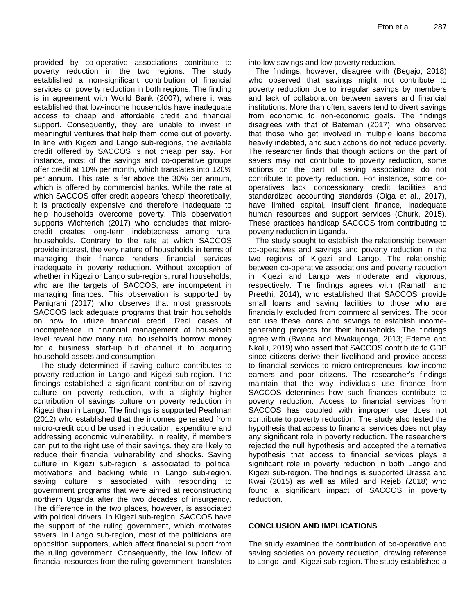provided by co-operative associations contribute to poverty reduction in the two regions. The study established a non-significant contribution of financial services on poverty reduction in both regions. The finding is in agreement with World Bank (2007), where it was established that low-income households have inadequate access to cheap and affordable credit and financial support. Consequently, they are unable to invest in meaningful ventures that help them come out of poverty. In line with Kigezi and Lango sub-regions, the available credit offered by SACCOS is not cheap per say. For instance, most of the savings and co-operative groups offer credit at 10% per month, which translates into 120% per annum. This rate is far above the 30% per annum, which is offered by commercial banks. While the rate at which SACCOS offer credit appears 'cheap' theoretically, it is practically expensive and therefore inadequate to help households overcome poverty. This observation supports Wichterich (2017) who concludes that microcredit creates long-term indebtedness among rural households. Contrary to the rate at which SACCOS provide interest, the very nature of households in terms of managing their finance renders financial services inadequate in poverty reduction. Without exception of whether in Kigezi or Lango sub-regions, rural households, who are the targets of SACCOS, are incompetent in managing finances. This observation is supported by Panigrahi (2017) who observes that most grassroots SACCOS lack adequate programs that train households on how to utilize financial credit. Real cases of incompetence in financial management at household level reveal how many rural households borrow money for a business start-up but channel it to acquiring household assets and consumption.

The study determined if saving culture contributes to poverty reduction in Lango and Kigezi sub-region. The findings established a significant contribution of saving culture on poverty reduction, with a slightly higher contribution of savings culture on poverty reduction in Kigezi than in Lango. The findings is supported Pearlman (2012) who established that the incomes generated from micro-credit could be used in education, expenditure and addressing economic vulnerability. In reality, if members can put to the right use of their savings, they are likely to reduce their financial vulnerability and shocks. Saving culture in Kigezi sub-region is associated to political motivations and backing while in Lango sub-region, saving culture is associated with responding to government programs that were aimed at reconstructing northern Uganda after the two decades of insurgency. The difference in the two places, however, is associated with political drivers. In Kigezi sub-region, SACCOS have the support of the ruling government, which motivates savers. In Lango sub-region, most of the politicians are opposition supporters, which affect financial support from the ruling government. Consequently, the low inflow of financial resources from the ruling government translates

into low savings and low poverty reduction.

The findings, however, disagree with (Begajo, 2018) who observed that savings might not contribute to poverty reduction due to irregular savings by members and lack of collaboration between savers and financial institutions. More than often, savers tend to divert savings from economic to non-economic goals. The findings disagrees with that of Bateman (2017), who observed that those who get involved in multiple loans become heavily indebted, and such actions do not reduce poverty. The researcher finds that though actions on the part of savers may not contribute to poverty reduction, some actions on the part of saving associations do not contribute to poverty reduction. For instance, some cooperatives lack concessionary credit facilities and standardized accounting standards (Olga et al., 2017), have limited capital, insufficient finance, inadequate human resources and support services (Churk, 2015). These practices handicap SACCOS from contributing to poverty reduction in Uganda.

The study sought to establish the relationship between co-operatives and savings and poverty reduction in the two regions of Kigezi and Lango. The relationship between co-operative associations and poverty reduction in Kigezi and Lango was moderate and vigorous, respectively. The findings agrees with (Ramath and Preethi, 2014), who established that SACCOS provide small loans and saving facilities to those who are financially excluded from commercial services. The poor can use these loans and savings to establish incomegenerating projects for their households. The findings agree with (Bwana and Mwakujonga, 2013; Edeme and Nkalu, 2019) who assert that SACCOS contribute to GDP since citizens derive their livelihood and provide access to financial services to micro-entrepreneurs, low-income earners and poor citizens. The researcher's findings maintain that the way individuals use finance from SACCOS determines how such finances contribute to poverty reduction. Access to financial services from SACCOS has coupled with improper use does not contribute to poverty reduction. The study also tested the hypothesis that access to financial services does not play any significant role in poverty reduction. The researchers rejected the null hypothesis and accepted the alternative hypothesis that access to financial services plays a significant role in poverty reduction in both Lango and Kigezi sub-region. The findings is supported Urassa and Kwai (2015) as well as Miled and Rejeb (2018) who found a significant impact of SACCOS in poverty reduction.

#### **CONCLUSION AND IMPLICATIONS**

The study examined the contribution of co-operative and saving societies on poverty reduction, drawing reference to Lango and Kigezi sub-region. The study established a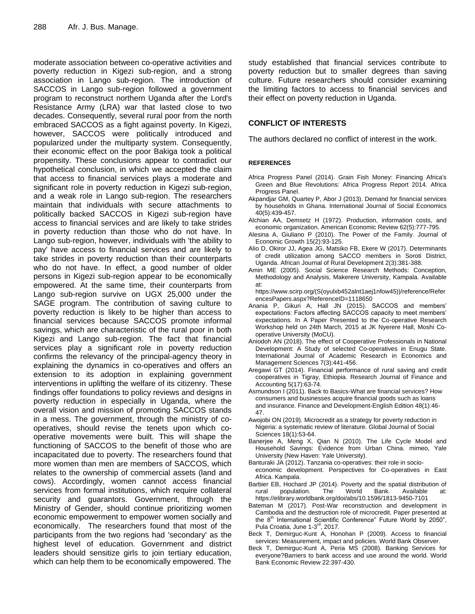moderate association between co-operative activities and poverty reduction in Kigezi sub-region, and a strong association in Lango sub-region. The introduction of SACCOS in Lango sub-region followed a government program to reconstruct northern Uganda after the Lord's Resistance Army (LRA) war that lasted close to two decades. Consequently, several rural poor from the north embraced SACCOS as a fight against poverty. In Kigezi, however, SACCOS were politically introduced and popularized under the multiparty system. Consequently, their economic effect on the poor Bakiga took a political propensity. These conclusions appear to contradict our hypothetical conclusion, in which we accepted the claim that access to financial services plays a moderate and significant role in poverty reduction in Kigezi sub-region, and a weak role in Lango sub-region. The researchers maintain that individuals with secure attachments to politically backed SACCOS in Kigezi sub-region have access to financial services and are likely to take strides in poverty reduction than those who do not have. In Lango sub-region, however, individuals with 'the ability to pay' have access to financial services and are likely to take strides in poverty reduction than their counterparts who do not have. In effect, a good number of older persons in Kigezi sub-region appear to be economically empowered. At the same time, their counterparts from Lango sub-region survive on UGX 25,000 under the SAGE program. The contribution of saving culture to poverty reduction is likely to be higher than access to financial services because SACCOS promote informal savings, which are characteristic of the rural poor in both Kigezi and Lango sub-region. The fact that financial services play a significant role in poverty reduction confirms the relevancy of the principal-agency theory in explaining the dynamics in co-operatives and offers an extension to its adoption in explaining government interventions in uplifting the welfare of its citizenry. These findings offer foundations to policy reviews and designs in poverty reduction in especially in Uganda, where the overall vision and mission of promoting SACCOS stands in a mess. The government, through the ministry of cooperatives, should revise the tenets upon which cooperative movements were built. This will shape the functioning of SACCOS to the benefit of those who are incapacitated due to poverty. The researchers found that more women than men are members of SACCOS, which relates to the ownership of commercial assets (land and cows). Accordingly, women cannot access financial services from formal institutions, which require collateral security and guarantors. Government, through the Ministry of Gender, should continue prioritizing women economic empowerment to empower women socially and economically. The researchers found that most of the participants from the two regions had 'secondary' as the highest level of education. Government and district leaders should sensitize girls to join tertiary education, which can help them to be economically empowered. The

study established that financial services contribute to poverty reduction but to smaller degrees than saving culture. Future researchers should consider examining the limiting factors to access to financial services and their effect on poverty reduction in Uganda.

#### **CONFLICT OF INTERESTS**

The authors declared no conflict of interest in the work.

#### **REFERENCES**

- Africa Progress Panel (2014). Grain Fish Money: Financing Africa's Green and Blue Revolutions: Africa Progress Report 2014. Africa Progress Panel.
- Akpandjar GM, Quartey P, Abor J (2013). Demand for financial services by households in Ghana. International Journal of Social Economics 40(5):439-457.
- Alchian AA, Demsetz H (1972). Production, information costs, and economic organization. American Economic Review 62(5):777-795.
- Alesina A, Giuliano P (2010). The Power of the Family. Journal of Economic Growth 15(2):93-125.
- Alio D, Okiror JJ, Agea JG, Matsiko FB, Ekere W (2017). Determinants of credit utilization among SACCO members in Soroti District, Uganda. African Journal of Rural Development 2(3):381-388.
- Amin ME (2005). Social Science Research Methods: Conception, Methodology and Analysis, Makerere University, Kampala. Available at:

https://www.scirp.org/(S(oyulxb452alnt1aej1nfow45))/reference/Refer encesPapers.aspx?ReferenceID=1118650

- Anania P, Gikuri A, Hall JN (2015). SACCOS and members' expectations: Factors affecting SACCOS capacity to meet members" expectations. In A Paper Presented to the Co-operative Research Workshop held on 24th March, 2015 at JK Nyerere Hall, Moshi Cooperative University (MoCU).
- Aniodoh AN (2018). The effect of Cooperative Professionals in National Development: A Study of selected Co-operatives in Enugu State. International Journal of Academic Research in Economics and Management Sciences 7(3):441-456.
- Aregawi GT (2014). Financial performance of rural saving and credit cooperatives in Tigray, Ethiopia. Research Journal of Finance and Accounting 5(17):63-74.
- Asmundson I (2011). Back to Basics-What are financial services? How consumers and businesses acquire financial goods such as loans and insurance. Finance and Development-English Edition 48(1):46- 47.
- Awojobi ON (2019). Microcredit as a strategy for poverty reduction in Nigeria: a systematic review of literature. Global Journal of Social Sciences 18(1):53-64.
- Banerjee A, Meng X, Qian N (2010). The Life Cycle Model and Household Savings: Evidence from Urban China. mimeo, Yale University (New Haven: Yale University).
- Banturaki JA (2012). Tanzania co-operatives: their role in socioeconomic development. Perspectives for Co-operatives in East Africa. Kampala.
- Barbier EB, Hochard JP (2014). Poverty and the spatial distribution of rural population. The World Bank. Available at: https://elibrary.worldbank.org/doi/abs/10.1596/1813-9450-7101
- Bateman M (2017). Post-War reconstruction and development in Cambodia and the destruction role of microcredit. Paper presented at the 8<sup>th</sup> International Scientific Conference" Future World by 2050", Pula Croatia, June 1-3<sup>rd</sup>, 2017.
- Beck T, Demirguc-Kunt A, Honohan P (2009). Access to financial services: Measurement, impact and policies. World Bank Observer.
- Beck T, Demirguc-Kunt A, Peria MS (2008). Banking Services for everyone?Barriers to bank access and use around the world. World Bank Economic Review 22:397-430.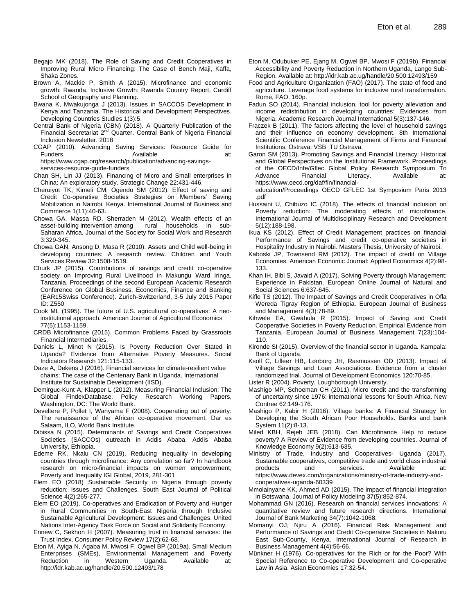- Begajo MK (2018). The Role of Saving and Credit Cooperatives in Improving Rural Micro Financing: The Case of Bench Maji, Kaffa, Shaka Zones.
- Brown A, Mackie P, Smith A (2015). Microfinance and economic growth: Rwanda. Inclusive Growth: Rwanda Country Report, Cardiff School of Geography and Planning.
- Bwana K, Mwakujonga J (2013). Issues in SACCOS Development in Kenya and Tanzania. The Historical and Development Perspectives. Developing Countries Studies 1(3):5.
- Central Bank of Nigeria (CBN) (2018). A Quarterly Publication of the Financial Secretariat  $2<sup>hd</sup>$  Quarter. Central Bank of Nigeria Financial Inclusion Newsletter. 2018
- CGAP (2010). Advancing Saving Services: Resource Guide for Funders. The attempt of the Available at: the attempt of the Available at: the attempt of the Available at: https://www.cgap.org/research/publication/advancing-savingsservices-resource-guide-funders
- Chan SH, Lin JJ (2013). Financing of Micro and Small enterprises in China: An exploratory study. Strategic Change 22:431-446.
- Cheruiyot TK, Kimeli CM, Ogendo SM (2012). Effect of saving and Credit Co-operative Societies Strategies on Members" Saving Mobilization in Nairobi, Kenya. International Journal of Business and Commerce 1(11):40-63.
- Chowa GA, Massa RD, Sherraden M (2012). Wealth effects of an asset-building intervention among rural households in sub-Saharan Africa. Journal of the Society for Social Work and Research 3:329-345.
- Chowa GAN, Ansong D, Masa R (2010). Assets and Child well-being in developing countries: A research review. Children and Youth Services Review 32:1508-1519.
- Churk JP (2015). Contributions of savings and credit co-operative society on Improving Rural Livelihood in Makungu Ward Iringa, Tanzania. Proceedings of the second European Academic Research Conference on Global Business, Economics, Finance and Banking (EAR15Swiss Conference). Zurich-Switzerland, 3-5 July 2015 Paper ID: Z550
- Cook ML (1995). The future of U.S. agricultural co-operatives: A neoinstitutional approach. American Journal of Agricultural Economics 77(5):1153-1159.
- CRDB Microfinance (2015). Common Problems Faced by Grassroots Financial Intermediaries.
- Daniels L, Minot N (2015). Is Poverty Reduction Over Stated in Uganda? Evidence from Alternative Poverty Measures. Social Indicators Research 121:115-133.
- Daze A, Dekens J (2016). Financial services for climate-resilient value chains: The case of the Centenary Bank in Uganda. International Institute for Sustainable Development (IISD).
- Demirguc-Kunt A, Klapper L (2012). Measuring Financial Inclusion: The Global FindexDatabase. Policy Research Working Papers, Washington, DC: The World Bank*.*
- Develtere P, Pollet I, Wanyama F (2008). Cooperating out of poverty: The renaissance of the African co-operative movement. Dar es Salaam, ILO, World Bank Institute.
- Dibissa N (2015). Determinants of Savings and Credit Cooperatives Societies (SACCOs) outreach in Addis Ababa. Addis Ababa University, Ethiopia.
- Edeme RK, Nkalu CN (2019). Reducing inequality in developing countries through microfinance: Any correlation so far? In handbook research on micro-financial impacts on women empowerment, Poverty and Inequality IGI Global, 2019, 281-301
- Elem EO (2018) Sustainable Security in Nigeria through poverty reduction: Issues and Challenges. South East Journal of Political Science 4(2):265-277.
- Elem EO (2019). Co-operatives and Eradication of Poverty and Hunger in Rural Communities in South-East Nigeria through Inclusive Sustainable Agricultural Development: Issues and Challenges. United Nations Inter-Agency Task Force on Social and Solidarity Economy.
- Ennew C, Sekhon H (2007). Measuring trust in financial services: the Trust Index. Consumer Policy Review 17(2):62-68.
- Eton M, Ayiga N, Agaba M, Mwosi F, Ogwel BP (2019a). Small Medium Enterprises (SMEs), Environmental Management and Poverty Reduction in Western Uganda. Available at: http://idr.kab.ac.ug/handle/20.500.12493/178
- Eton M, Odubuker PE, Ejang M, Ogwel BP, Mwosi F (2019b). Financial Accessibility and Poverty Reduction in Northern Uganda, Lango Sub-Region. Available at: http://idr.kab.ac.ug/handle/20.500.12493/159
- Food and Agriculture Organization (FAO) (2017). The state of food and agriculture. Leverage food systems for inclusive rural transformation. Rome, FAO. 160p.
- Fadun SO (2014). Financial inclusion, tool for poverty alleviation and income redistribution in developing countries: Evidences from Nigeria. Academic Research Journal International 5(3):137-146.
- Fraczek B (2011). The factors affecting the level of household savings and their influence on economy development. 8th International Scientific Conference Financial Management of Firms and Financial Institutions. Ostrava: VSB\_TU Ostrava.
- Garon SM (2013). Promoting Savings and Financial Literacy: Historical and Global Perspectives on the Institutional Framework. Proceedings of the OECD/Infe/Gflec Global Policy Research Symposium To Advance Financial Literacy. Available at: https://www.oecd.org/daf/fin/financial-

education/Proceedings\_OECD\_GFLEC\_1st\_Symposium\_Paris\_2013 .pdf

- Hussaini U, Chibuzo IC (2018). The effects of financial inclusion on Poverty reduction: The moderating effects of microfinance. International Journal of Multidisciplinary Research and Development 5(12):188-198.
- Ikua KS (2012). Effect of Credit Management practices on financial Performance of Savings and credit co-operative societies in Hospitality Industry in Nairobi. Masters Thesis, University of Nairobi.
- Kaboski JP, Townsend RM (2012). The impact of credit on Village Economies. American Economic Journal: Applied Economics 4(2):98- 133.
- Khan IH, Bibi S, Javaid A (2017). Solving Poverty through Management: Experience in Pakistan. European Online Journal of Natural and Social Sciences 6:637-645.
- Kifle TS (2012). The Impact of Savings and Credit Cooperatives in Ofla Wereda Tigray Region of Ethiopia. European Journal of Business and Management 4(3):78-89.
- Kihwele EA, Gwahula R (2015). Impact of Saving and Credit Cooperative Societies in Poverty Reduction. Empirical Evidence from Tanzania. European Journal of Business Management 7(23):104- 110.
- Kironde SI (2015). Overview of the financial sector in Uganda*.* Kampala: Bank of Uganda.
- Ksoll C, Lilleør HB, Lønborg JH, Rasmussen OD (2013). Impact of Village Savings and Loan Associations: Evidence from a cluster randomized trial. Journal of Development Economics 120:70-85.
- Lister R (2004). Poverty. Loughborough University.
- Mashigo MP, Schoeman CH (2011). Micro credit and the transforming of uncertainty since 1976: international lessons for South Africa. New Contree 62:149-176.
- Mashigo P, Kabir H (2016). Village banks: A Financial Strategy for Developing the South African Poor Households. Banks and bank System 11(2):8-13.
- Miled KBH, Rejeb JEB (2018). Can Microfinance Help to reduce poverty? A Review of Evidence from developing countries. Journal of Knowledge Economy 9(2):613-635.
- Ministry of Trade, Industry and Cooperatives- Uganda (2017). Sustainable cooperatives, competitive trade and world class industrial products and services. Available at: https://www.devex.com/organizations/ministry-of-trade-industry-andcooperatives-uganda-60339
- Mmolainyane KK, Ahmed AD (2015). The impact of financial integration in Botswana. Journal of Policy Modeling 37(5):852-874.
- Mohammad GN (2016). Research on financial services innovations: A quantitative review and future research directions. International Journal of Bank Marketing 34(7):1042-1068.
- Momanyi OJ, Njiru A (2016). Financial Risk Management and Performance of Savings and Credit Co-operative Societies in Nakuru East Sub-County, Kenya. International Journal of Research in Business Management 4(4):56-66.
- Münkner H (1976). Co-operatives for the Rich or for the Poor? With Special Reference to Co-operative Development and Co-operative Law in Asia. Asian Economies 17:32-54.